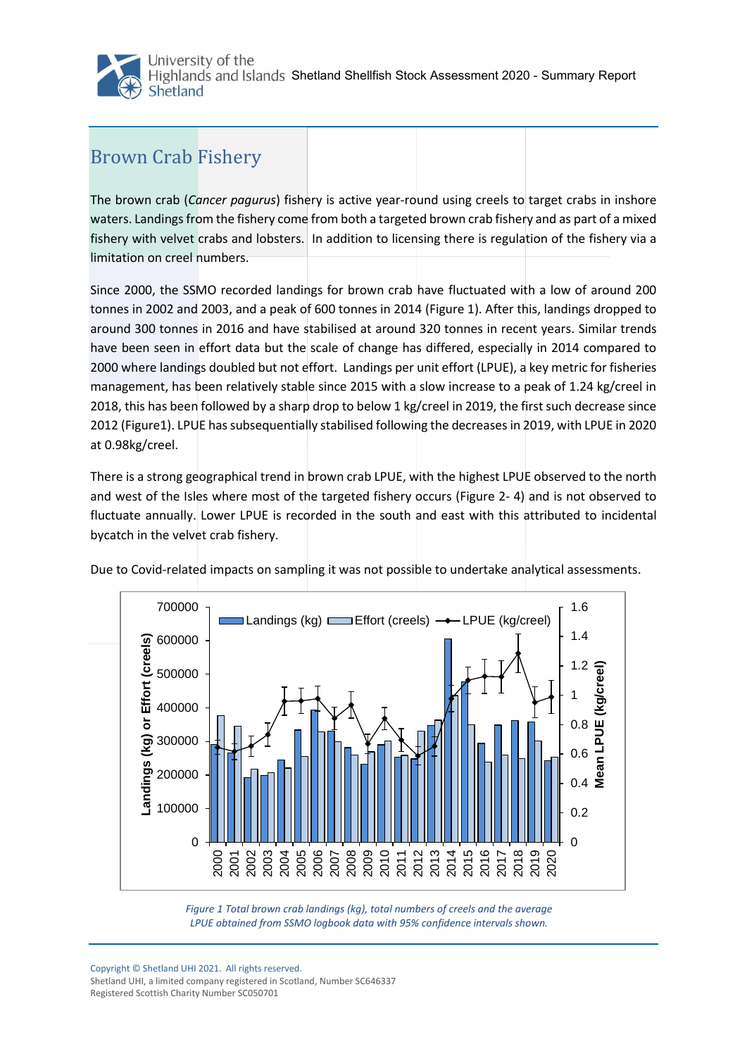University of the Highlands and Islands Shetland Shellfish Stock Assessment 2020 - Summary Report Shetland

## Brown Crab Fishery

The brown crab (*Cancer pagurus*) fishery is active year-round using creels to target crabs in inshore waters. Landings from the fishery come from both a targeted brown crab fishery and as part of a mixed fishery with velvet crabs and lobsters. In addition to licensing there is regulation of the fishery via a limitation on creel numbers.

Since 2000, the SSMO recorded landings for brown crab have fluctuated with a low of around 200 tonnes in 2002 and 2003, and a peak of 600 tonnes in 2014 (Figure 1). After this, landings dropped to around 300 tonnes in 2016 and have stabilised at around 320 tonnes in recent years. Similar trends have been seen in effort data but the scale of change has differed, especially in 2014 compared to 2000 where landings doubled but not effort. Landings per unit effort (LPUE), a key metric for fisheries management, has been relatively stable since 2015 with a slow increase to a peak of 1.24 kg/creel in 2018, this has been followed by a sharp drop to below 1 kg/creel in 2019, the first such decrease since 2012 [\(Figure1](#page-0-0)). LPUE has subsequentially stabilised following the decreases in 2019, with LPUE in 2020 at 0.98kg/creel.

There is a strong geographical trend in brown crab LPUE, with the highest LPUE observed to the north and west of the Isles where most of the targeted fishery occurs [\(Figure 2](#page-1-0)- 4) and is not observed to fluctuate annually. Lower LPUE is recorded in the south and east with this attributed to incidental bycatch in the velvet crab fishery.





<span id="page-0-0"></span>

Copyright © Shetland UHI 2021. All rights reserved. Shetland UHI, a limited company registered in Scotland, Number SC646337 Registered Scottish Charity Number SC050701